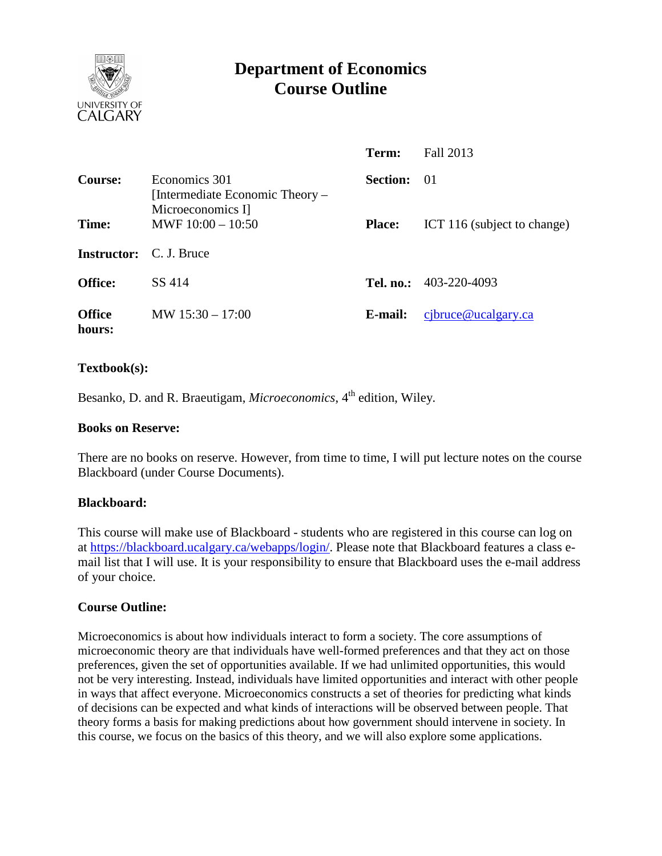

# **Department of Economics Course Outline**

|                         |                                                                       | Term:           | Fall 2013                     |
|-------------------------|-----------------------------------------------------------------------|-----------------|-------------------------------|
| <b>Course:</b>          | Economics 301<br>[Intermediate Economic Theory –<br>Microeconomics I] | <b>Section:</b> | - 01                          |
| Time:                   | MWF $10:00 - 10:50$                                                   | <b>Place:</b>   | ICT 116 (subject to change)   |
| <b>Instructor:</b>      | C. J. Bruce                                                           |                 |                               |
| <b>Office:</b>          | SS 414                                                                |                 | <b>Tel. no.:</b> 403-220-4093 |
| <b>Office</b><br>hours: | MW $15:30 - 17:00$                                                    | E-mail:         | $c$ jbruce@ucalgary.ca        |

## **Textbook(s):**

Besanko, D. and R. Braeutigam, *Microeconomics*, 4<sup>th</sup> edition, Wiley.

#### **Books on Reserve:**

There are no books on reserve. However, from time to time, I will put lecture notes on the course Blackboard (under Course Documents).

#### **Blackboard:**

This course will make use of Blackboard - students who are registered in this course can log on at [https://blackboard.ucalgary.ca/webapps/login/.](https://blackboard.ucalgary.ca/webapps/login/) Please note that Blackboard features a class email list that I will use. It is your responsibility to ensure that Blackboard uses the e-mail address of your choice.

#### **Course Outline:**

Microeconomics is about how individuals interact to form a society. The core assumptions of microeconomic theory are that individuals have well-formed preferences and that they act on those preferences, given the set of opportunities available. If we had unlimited opportunities, this would not be very interesting. Instead, individuals have limited opportunities and interact with other people in ways that affect everyone. Microeconomics constructs a set of theories for predicting what kinds of decisions can be expected and what kinds of interactions will be observed between people. That theory forms a basis for making predictions about how government should intervene in society. In this course, we focus on the basics of this theory, and we will also explore some applications.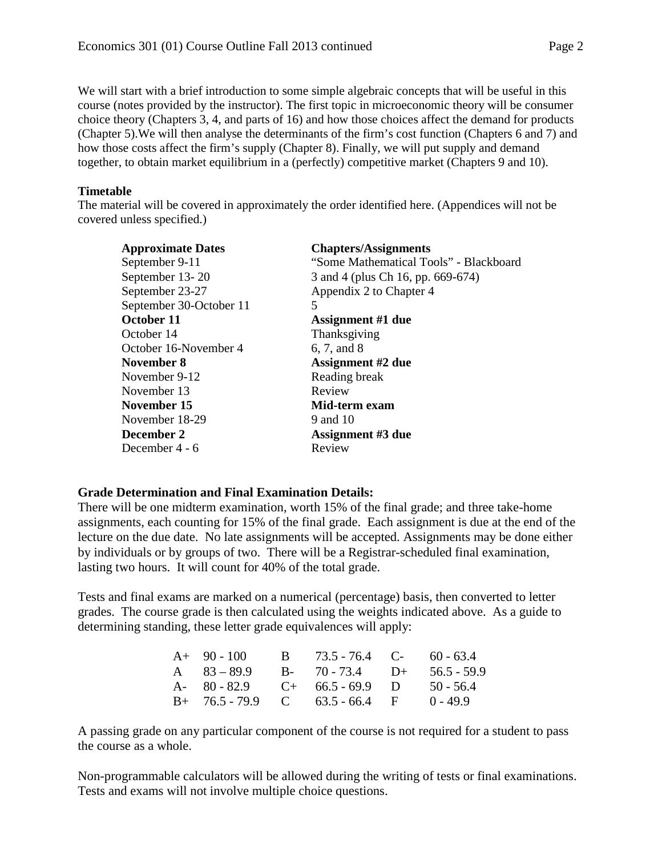We will start with a brief introduction to some simple algebraic concepts that will be useful in this course (notes provided by the instructor). The first topic in microeconomic theory will be consumer choice theory (Chapters 3, 4, and parts of 16) and how those choices affect the demand for products (Chapter 5).We will then analyse the determinants of the firm's cost function (Chapters 6 and 7) and how those costs affect the firm's supply (Chapter 8). Finally, we will put supply and demand together, to obtain market equilibrium in a (perfectly) competitive market (Chapters 9 and 10).

### **Timetable**

The material will be covered in approximately the order identified here. (Appendices will not be covered unless specified.)

| <b>Approximate Dates</b> | <b>Chapters/Assignments</b>            |
|--------------------------|----------------------------------------|
| September 9-11           | "Some Mathematical Tools" - Blackboard |
| September 13-20          | 3 and 4 (plus Ch 16, pp. 669-674)      |
| September 23-27          | Appendix 2 to Chapter 4                |
| September 30-October 11  | 5                                      |
| October 11               | <b>Assignment #1 due</b>               |
| October 14               | Thanksgiving                           |
| October 16-November 4    | 6, 7, and 8                            |
| November 8               | <b>Assignment #2 due</b>               |
| November 9-12            | Reading break                          |
| November 13              | Review                                 |
| November 15              | Mid-term exam                          |
| November 18-29           | 9 and 10                               |
| December 2               | <b>Assignment #3 due</b>               |
| December 4 - 6           | Review                                 |

#### **Grade Determination and Final Examination Details:**

There will be one midterm examination, worth 15% of the final grade; and three take-home assignments, each counting for 15% of the final grade. Each assignment is due at the end of the lecture on the due date. No late assignments will be accepted. Assignments may be done either by individuals or by groups of two. There will be a Registrar-scheduled final examination, lasting two hours. It will count for 40% of the total grade.

Tests and final exams are marked on a numerical (percentage) basis, then converted to letter grades. The course grade is then calculated using the weights indicated above. As a guide to determining standing, these letter grade equivalences will apply:

| $A+90-100$    | B $73.5 - 76.4$ C- $60 - 63.4$    |             |
|---------------|-----------------------------------|-------------|
| A $83 - 89.9$ | B- 70 - 73.4 D+ 56.5 - 59.9       |             |
|               | A- $80 - 82.9$ C+ $66.5 - 69.9$ D | $50 - 56.4$ |
|               | $B+ 76.5-79.9$ C 63.5 - 66.4 F    | $0 - 49.9$  |

A passing grade on any particular component of the course is not required for a student to pass the course as a whole.

Non-programmable calculators will be allowed during the writing of tests or final examinations. Tests and exams will not involve multiple choice questions.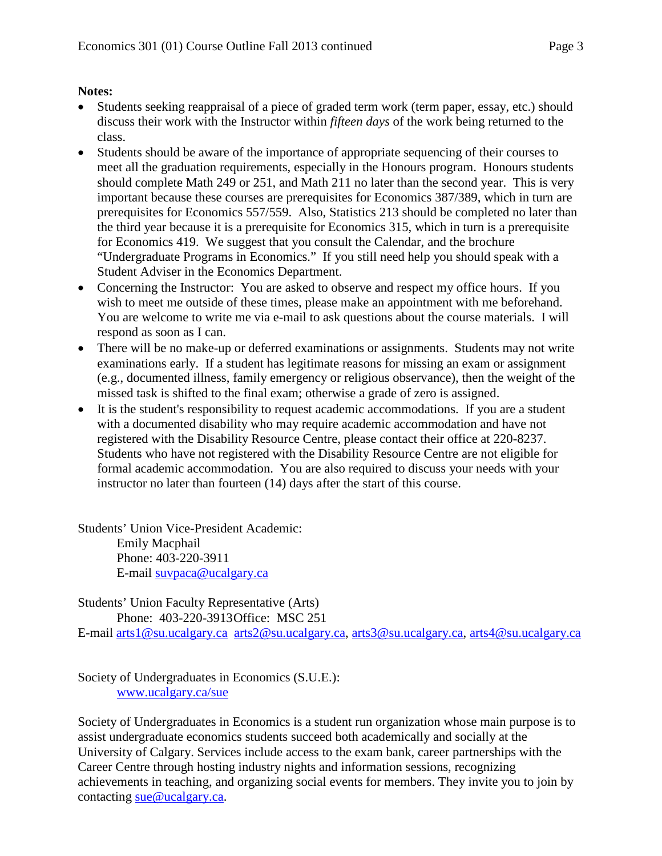## **Notes:**

- Students seeking reappraisal of a piece of graded term work (term paper, essay, etc.) should discuss their work with the Instructor within *fifteen days* of the work being returned to the class.
- Students should be aware of the importance of appropriate sequencing of their courses to meet all the graduation requirements, especially in the Honours program. Honours students should complete Math 249 or 251, and Math 211 no later than the second year. This is very important because these courses are prerequisites for Economics 387/389, which in turn are prerequisites for Economics 557/559. Also, Statistics 213 should be completed no later than the third year because it is a prerequisite for Economics 315, which in turn is a prerequisite for Economics 419. We suggest that you consult the Calendar, and the brochure "Undergraduate Programs in Economics." If you still need help you should speak with a Student Adviser in the Economics Department.
- Concerning the Instructor: You are asked to observe and respect my office hours. If you wish to meet me outside of these times, please make an appointment with me beforehand. You are welcome to write me via e-mail to ask questions about the course materials. I will respond as soon as I can.
- There will be no make-up or deferred examinations or assignments. Students may not write examinations early. If a student has legitimate reasons for missing an exam or assignment (e.g., documented illness, family emergency or religious observance), then the weight of the missed task is shifted to the final exam; otherwise a grade of zero is assigned.
- It is the student's responsibility to request academic accommodations. If you are a student with a documented disability who may require academic accommodation and have not registered with the Disability Resource Centre, please contact their office at 220-8237. Students who have not registered with the Disability Resource Centre are not eligible for formal academic accommodation. You are also required to discuss your needs with your instructor no later than fourteen (14) days after the start of this course.

Students' Union Vice-President Academic: Emily Macphail Phone: 403-220-3911 E-mail [suvpaca@ucalgary.ca](mailto:subpaca@ucalgary.ca)

Students' Union Faculty Representative (Arts) Phone: 403-220-3913Office: MSC 251

E-mail [arts1@su.ucalgary.ca](mailto:arts1@su.ucalgary.ca) [arts2@su.ucalgary.ca,](mailto:arts2@su.ucalgary.ca) [arts3@su.ucalgary.ca,](mailto:arts3@su.ucalgary.ca) [arts4@su.ucalgary.ca](mailto:arts4@su.ucalgary.ca)

Society of Undergraduates in Economics (S.U.E.): [www.ucalgary.ca/sue](http://www.fp.ucalgary.ca/econ)

Society of Undergraduates in Economics is a student run organization whose main purpose is to assist undergraduate economics students succeed both academically and socially at the University of Calgary. Services include access to the exam bank, career partnerships with the Career Centre through hosting industry nights and information sessions, recognizing achievements in teaching, and organizing social events for members. They invite you to join by contacting [sue@ucalgary.ca.](mailto:sue@ucalgary.ca)